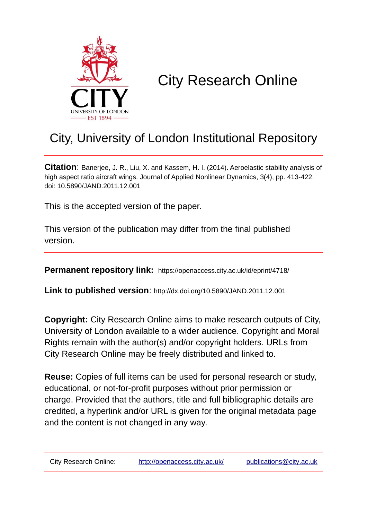

# City Research Online

## City, University of London Institutional Repository

**Citation**: Banerjee, J. R., Liu, X. and Kassem, H. I. (2014). Aeroelastic stability analysis of high aspect ratio aircraft wings. Journal of Applied Nonlinear Dynamics, 3(4), pp. 413-422. doi: 10.5890/JAND.2011.12.001

This is the accepted version of the paper.

This version of the publication may differ from the final published version.

**Permanent repository link:** https://openaccess.city.ac.uk/id/eprint/4718/

**Link to published version**: http://dx.doi.org/10.5890/JAND.2011.12.001

**Copyright:** City Research Online aims to make research outputs of City, University of London available to a wider audience. Copyright and Moral Rights remain with the author(s) and/or copyright holders. URLs from City Research Online may be freely distributed and linked to.

**Reuse:** Copies of full items can be used for personal research or study, educational, or not-for-profit purposes without prior permission or charge. Provided that the authors, title and full bibliographic details are credited, a hyperlink and/or URL is given for the original metadata page and the content is not changed in any way.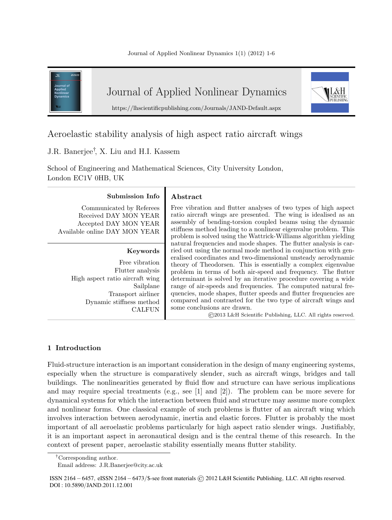

## Aeroelastic stability analysis of high aspect ratio aircraft wings

### J.R. Banerjee† , X. Liu and H.I. Kassem

School of Engineering and Mathematical Sciences, City University London, London EC1V 0HB, UK

#### **Submission Info Abstract**

Communicated by Referees Received DAY MON YEAR Accepted DAY MON YEAR Available online DAY MON YEAR

#### **Keywords**

Free vibration Flutter analysis High aspect ratio aircraft wing Sailplane Transport airliner Dynamic stiffness method CALFUN

Free vibration and flutter analyses of two types of high aspect ratio aircraft wings are presented. The wing is idealised as an assembly of bending-torsion coupled beams using the dynamic stiffness method leading to a nonlinear eigenvalue problem. This problem is solved using the Wattrick-Williams algorithm yielding natural frequencies and mode shapes. The flutter analysis is carried out using the normal mode method in conjunction with generalised coordinates and two-dimensional unsteady aerodynamic theory of Theodorsen. This is essentially a complex eigenvalue problem in terms of both air-speed and frequency. The flutter determinant is solved by an iterative procedure covering a wide range of air-speeds and frequencies. The computed natural frequencies, mode shapes, flutter speeds and flutter frequencies are compared and contrasted for the two type of aircraft wings and some conclusions are drawn.

©2013 L&H Scientific Publishing, LLC. All rights reserved.

### **1 Introduction**

Fluid-structure interaction is an important consideration in the design of many engineering systems, especially when the structure is comparatively slender, such as aircraft wings, bridges and tall buildings. The nonlinearities generated by fluid flow and structure can have serious implications and may require special treatments (e.g., see [1] and [2]). The problem can be more severe for dynamical systems for which the interaction between fluid and structure may assume more complex and nonlinear forms. One classical example of such problems is flutter of an aircraft wing which involves interaction between aerodynamic, inertia and elastic forces. Flutter is probably the most important of all aeroelastic problems particularly for high aspect ratio slender wings. Justifiably, it is an important aspect in aeronautical design and is the central theme of this research. In the context of present paper, aeroelastic stability essentially means flutter stability.

<sup>†</sup>Corresponding author.

Email address: J.R.Banerjee@city.ac.uk

ISSN 2164*−*6457*,* eISSN 2164*−*6473*/*\$-see front materials © 2012 L&H Scientific Publishing*,* LLC*.* All rights reserved*.* DOI : 10*.*5890*/*JAND*.*2011*.*12*.*001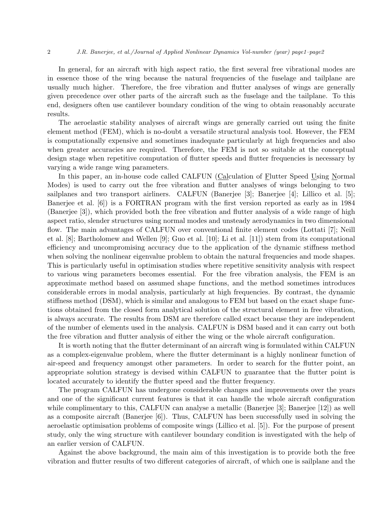#### 2 *J.R. Banerjee, et al./Journal of Applied Nonlinear Dynamics Vol-number (year) page1–page2*

In general, for an aircraft with high aspect ratio, the first several free vibrational modes are in essence those of the wing because the natural frequencies of the fuselage and tailplane are usually much higher. Therefore, the free vibration and flutter analyses of wings are generally given precedence over other parts of the aircraft such as the fuselage and the tailplane. To this end, designers often use cantilever boundary condition of the wing to obtain reasonably accurate results.

The aeroelastic stability analyses of aircraft wings are generally carried out using the finite element method (FEM), which is no-doubt a versatile structural analysis tool. However, the FEM is computationally expensive and sometimes inadequate particularly at high frequencies and also when greater accuracies are required. Therefore, the FEM is not so suitable at the conceptual design stage when repetitive computation of flutter speeds and flutter frequencies is necessary by varying a wide range wing parameters.

In this paper, an in-house code called CALFUN (Calculation of Flutter Speed Using Normal Modes) is used to carry out the free vibration and flutter analyses of wings belonging to two sailplanes and two transport airliners. CALFUN (Banerjee [3]; Banerjee [4]; Lillico et al. [5]; Banerjee et al. [6]) is a FORTRAN program with the first version reported as early as in 1984 (Banerjee [3]), which provided both the free vibration and flutter analysis of a wide range of high aspect ratio, slender structures using normal modes and unsteady aerodynamics in two dimensional flow. The main advantages of CALFUN over conventional finite element codes (Lottati [7]; Neill et al. [8]; Bartholomew and Wellen [9]; Guo et al. [10]; Li et al. [11]) stem from its computational efficiency and uncompromising accuracy due to the application of the dynamic stiffness method when solving the nonlinear eigenvalue problem to obtain the natural frequencies and mode shapes. This is particularly useful in optimisation studies where repetitive sensitivity analysis with respect to various wing parameters becomes essential. For the free vibration analysis, the FEM is an approximate method based on assumed shape functions, and the method sometimes introduces considerable errors in modal analysis, particularly at high frequencies. By contrast, the dynamic stiffness method (DSM), which is similar and analogous to FEM but based on the exact shape functions obtained from the closed form analytical solution of the structural element in free vibration, is always accurate. The results from DSM are therefore called exact because they are independent of the number of elements used in the analysis. CALFUN is DSM based and it can carry out both the free vibration and flutter analysis of either the wing or the whole aircraft configuration.

It is worth noting that the flutter determinant of an aircraft wing is formulated within CALFUN as a complex-eigenvalue problem, where the flutter determinant is a highly nonlinear function of air-speed and frequency amongst other parameters. In order to search for the flutter point, an appropriate solution strategy is devised within CALFUN to guarantee that the flutter point is located accurately to identify the flutter speed and the flutter frequency.

The program CALFUN has undergone considerable changes and improvements over the years and one of the significant current features is that it can handle the whole aircraft configuration while complimentary to this, CALFUN can analyse a metallic (Banerjee [3]; Banerjee [12]) as well as a composite aircraft (Banerjee [6]). Thus, CALFUN has been successfully used in solving the aeroelastic optimisation problems of composite wings (Lillico et al. [5]). For the purpose of present study, only the wing structure with cantilever boundary condition is investigated with the help of an earlier version of CALFUN.

Against the above background, the main aim of this investigation is to provide both the free vibration and flutter results of two different categories of aircraft, of which one is sailplane and the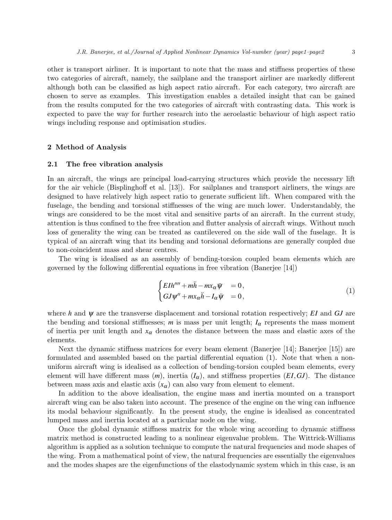other is transport airliner. It is important to note that the mass and stiffness properties of these two categories of aircraft, namely, the sailplane and the transport airliner are markedly different although both can be classified as high aspect ratio aircraft. For each category, two aircraft are chosen to serve as examples. This investigation enables a detailed insight that can be gained from the results computed for the two categories of aircraft with contrasting data. This work is expected to pave the way for further research into the aeroelastic behaviour of high aspect ratio wings including response and optimisation studies.

#### **2 Method of Analysis**

#### **2.1 The free vibration analysis**

In an aircraft, the wings are principal load-carrying structures which provide the necessary lift for the air vehicle (Bisplinghoff et al. [13]). For sailplanes and transport airliners, the wings are designed to have relatively high aspect ratio to generate sufficient lift. When compared with the fuselage, the bending and torsional stiffnesses of the wing are much lower. Understandably, the wings are considered to be the most vital and sensitive parts of an aircraft. In the current study, attention is thus confined to the free vibration and flutter analysis of aircraft wings. Without much loss of generality the wing can be treated as cantilevered on the side wall of the fuselage. It is typical of an aircraft wing that its bending and torsional deformations are generally coupled due to non-coincident mass and shear centres.

The wing is idealised as an assembly of bending-torsion coupled beam elements which are governed by the following differential equations in free vibration (Banerjee [14])

$$
\begin{cases}\nE I h'''' + m\ddot{h} - m x_\alpha \ddot{\psi} & = 0, \\
G J \psi'' + m x_\alpha \ddot{h} - I_\alpha \ddot{\psi} & = 0,\n\end{cases}
$$
\n(1)

where *h* and  $\psi$  are the transverse displacement and torsional rotation respectively; *EI* and *GJ* are the bending and torsional stiffnesses; *m* is mass per unit length;  $I_{\alpha}$  represents the mass moment of inertia per unit length and  $x_{\alpha}$  denotes the distance between the mass and elastic axes of the elements.

Next the dynamic stiffness matrices for every beam element (Banerjee [14]; Banerjee [15]) are formulated and assembled based on the partial differential equation (1). Note that when a nonuniform aircraft wing is idealised as a collection of bending-torsion coupled beam elements, every element will have different mass  $(m)$ , inertia  $(I_{\alpha})$ , and stiffness properties  $(EI, GJ)$ . The distance between mass axis and elastic axis  $(x_{\alpha})$  can also vary from element to element.

In addition to the above idealisation, the engine mass and inertia mounted on a transport aircraft wing can be also taken into account. The presence of the engine on the wing can influence its modal behaviour significantly. In the present study, the engine is idealised as concentrated lumped mass and inertia located at a particular node on the wing.

Once the global dynamic stiffness matrix for the whole wing according to dynamic stiffness matrix method is constructed leading to a nonlinear eigenvalue problem. The Wittrick-Williams algorithm is applied as a solution technique to compute the natural frequencies and mode shapes of the wing. From a mathematical point of view, the natural frequencies are essentially the eigenvalues and the modes shapes are the eigenfunctions of the elastodynamic system which in this case, is an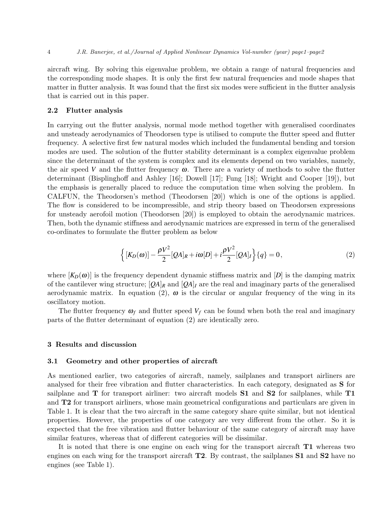aircraft wing. By solving this eigenvalue problem, we obtain a range of natural frequencies and the corresponding mode shapes. It is only the first few natural frequencies and mode shapes that matter in flutter analysis. It was found that the first six modes were sufficient in the flutter analysis that is carried out in this paper.

#### **2.2 Flutter analysis**

In carrying out the flutter analysis, normal mode method together with generalised coordinates and unsteady aerodynamics of Theodorsen type is utilised to compute the flutter speed and flutter frequency. A selective first few natural modes which included the fundamental bending and torsion modes are used. The solution of the flutter stability determinant is a complex eigenvalue problem since the determinant of the system is complex and its elements depend on two variables, namely, the air speed V and the flutter frequency  $\omega$ . There are a variety of methods to solve the flutter determinant (Bisplinghoff and Ashley [16]; Dowell [17]; Fung [18]; Wright and Cooper [19]), but the emphasis is generally placed to reduce the computation time when solving the problem. In CALFUN, the Theodorsen's method (Theodorsen [20]) which is one of the options is applied. The flow is considered to be incompressible, and strip theory based on Theodorsen expressions for unsteady aerofoil motion (Theodorsen [20]) is employed to obtain the aerodynamic matrices. Then, both the dynamic stiffness and aerodynamic matrices are expressed in term of the generalised co-ordinates to formulate the flutter problem as below

$$
\left\{ [K_D(\omega)] - \frac{\rho V^2}{2} [Q A]_R + i\omega [D] + i \frac{\rho V^2}{2} [Q A]_I \right\} \{q\} = 0, \tag{2}
$$

where  $[K_D(\omega)]$  is the frequency dependent dynamic stiffness matrix and  $[D]$  is the damping matrix of the cantilever wing structure;  $[QA]_R$  and  $[QA]_I$  are the real and imaginary parts of the generalised aerodynamic matrix. In equation (2),  $\omega$  is the circular or angular frequency of the wing in its oscillatory motion.

The flutter frequency  $\omega_f$  and flutter speed  $V_f$  can be found when both the real and imaginary parts of the flutter determinant of equation (2) are identically zero.

#### **3 Results and discussion**

#### **3.1 Geometry and other properties of aircraft**

As mentioned earlier, two categories of aircraft, namely, sailplanes and transport airliners are analysed for their free vibration and flutter characteristics. In each category, designated as **S** for sailplane and **T** for transport airliner: two aircraft models **S1** and **S2** for sailplanes, while **T1** and **T2** for transport airliners, whose main geometrical configurations and particulars are given in Table 1. It is clear that the two aircraft in the same category share quite similar, but not identical properties. However, the properties of one category are very different from the other. So it is expected that the free vibration and flutter behaviour of the same category of aircraft may have similar features, whereas that of different categories will be dissimilar.

It is noted that there is one engine on each wing for the transport aircraft **T1** whereas two engines on each wing for the transport aircraft **T2**. By contrast, the sailplanes **S1** and **S2** have no engines (see Table 1).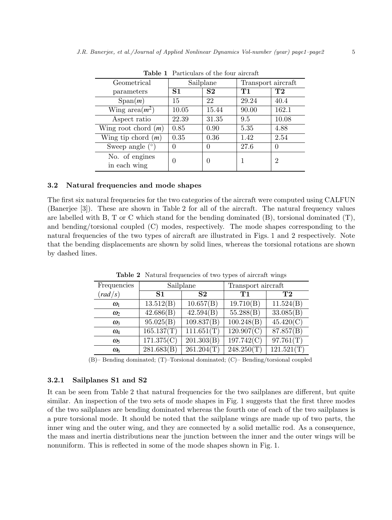| <b>TUDIO I</b> I WITCHING OF THE TOUT WITCH T |           |                |                    |           |  |  |  |
|-----------------------------------------------|-----------|----------------|--------------------|-----------|--|--|--|
| Geometrical                                   | Sailplane |                | Transport aircraft |           |  |  |  |
| parameters                                    | S1        | S <sub>2</sub> | Τ1                 | $\bf{T2}$ |  |  |  |
| Span(m)                                       | 15        | 22             | 29.24              | 40.4      |  |  |  |
| Wing area $(m^2)$                             | 10.05     | 15.44          | 90.00              | 162.1     |  |  |  |
| Aspect ratio                                  | 22.39     | 31.35          | 9.5                | 10.08     |  |  |  |
| Wing root chord $(m)$                         | 0.85      | 0.90           | 5.35               | 4.88      |  |  |  |
| Wing tip chord $(m)$                          | 0.35      | 0.36           | 1.42               | 2.54      |  |  |  |
| Sweep angle $(°)$                             | 0         | 0              | 27.6               |           |  |  |  |
| No. of engines<br>in each wing                | 0         | 0              |                    | 2         |  |  |  |

**Table 1** Particulars of the four aircraft

#### **3.2 Natural frequencies and mode shapes**

The first six natural frequencies for the two categories of the aircraft were computed using CALFUN (Banerjee [3]). These are shown in Table 2 for all of the aircraft. The natural frequency values are labelled with B, T or C which stand for the bending dominated (B), torsional dominated (T), and bending/torsional coupled (C) modes, respectively. The mode shapes corresponding to the natural frequencies of the two types of aircraft are illustrated in Figs. 1 and 2 respectively. Note that the bending displacements are shown by solid lines, whereas the torsional rotations are shown by dashed lines.

| Frequencies                  | Sailplane      |                         | Transport aircraft |                |  |
|------------------------------|----------------|-------------------------|--------------------|----------------|--|
| $\left(\frac{rad}{s}\right)$ | S <sub>1</sub> | $\mathbf{S2}$           | T1                 | T <sub>2</sub> |  |
| $\omega_1$                   | 13.512(B)      | 10.657(B)               | 19.710(B)          | 11.524(B)      |  |
| $\omega$                     | 42.686(B)      | 42.594(B)               | 55.288(B)          | 33.085(B)      |  |
| $\omega_3$                   | 95.025(B)      | 109.837(B)              | 100.248(B)         | 45.420(C)      |  |
| $\omega_4$                   | 165.137(T)     | 111.651(T)              | 120.907(C)         | 87.857(B)      |  |
| $\omega_{5}$                 | 171.375(C)     | $\overline{201.303(B)}$ | 197.742(C)         | 97.761(T)      |  |
| $\omega_{6}$                 | 281.683(B)     | 261.204(T)              | 248.250(T)         | 121.521(T)     |  |

**Table 2** Natural frequencies of two types of aircraft wings

(B)– Bending dominated; (T)–Torsional dominated; (C)– Bending/torsional coupled

#### **3.2.1 Sailplanes S1 and S2**

It can be seen from Table 2 that natural frequencies for the two sailplanes are different, but quite similar. An inspection of the two sets of mode shapes in Fig. 1 suggests that the first three modes of the two sailplanes are bending dominated whereas the fourth one of each of the two sailplanes is a pure torsional mode. It should be noted that the sailplane wings are made up of two parts, the inner wing and the outer wing, and they are connected by a solid metallic rod. As a consequence, the mass and inertia distributions near the junction between the inner and the outer wings will be nonuniform. This is reflected in some of the mode shapes shown in Fig. 1.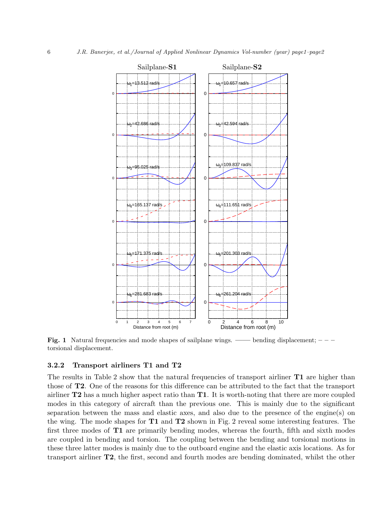

**Fig. 1** Natural frequencies and mode shapes of sailplane wings. —— bending displacement;  $-\frac{1}{2}$ torsional displacement.

#### **3.2.2 Transport airliners T1 and T2**

The results in Table 2 show that the natural frequencies of transport airliner **T1** are higher than those of **T2**. One of the reasons for this difference can be attributed to the fact that the transport airliner **T2** has a much higher aspect ratio than **T1**. It is worth-noting that there are more coupled modes in this category of aircraft than the previous one. This is mainly due to the significant separation between the mass and elastic axes, and also due to the presence of the engine(s) on the wing. The mode shapes for **T1** and **T2** shown in Fig. 2 reveal some interesting features. The first three modes of **T1** are primarily bending modes, whereas the fourth, fifth and sixth modes are coupled in bending and torsion. The coupling between the bending and torsional motions in these three latter modes is mainly due to the outboard engine and the elastic axis locations. As for transport airliner **T2**, the first, second and fourth modes are bending dominated, whilst the other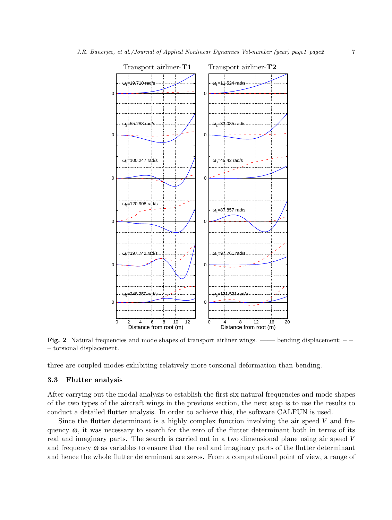

**Fig. 2** Natural frequencies and mode shapes of transport airliner wings. **——** bending displacement; **– – –** torsional displacement.

three are coupled modes exhibiting relatively more torsional deformation than bending.

#### **3.3 Flutter analysis**

After carrying out the modal analysis to establish the first six natural frequencies and mode shapes of the two types of the aircraft wings in the previous section, the next step is to use the results to conduct a detailed flutter analysis. In order to achieve this, the software CALFUN is used.

Since the flutter determinant is a highly complex function involving the air speed *V* and frequency  $\omega$ , it was necessary to search for the zero of the flutter determinant both in terms of its real and imaginary parts. The search is carried out in a two dimensional plane using air speed *V* and frequency  $\omega$  as variables to ensure that the real and imaginary parts of the flutter determinant and hence the whole flutter determinant are zeros. From a computational point of view, a range of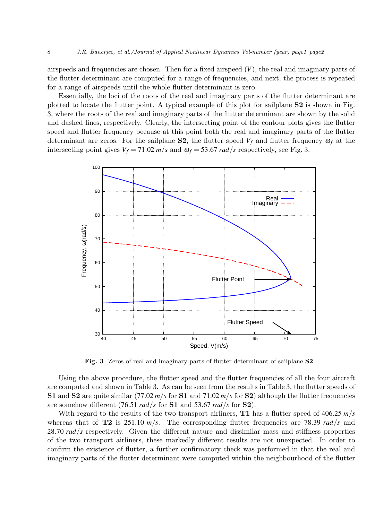airspeeds and frequencies are chosen. Then for a fixed airspeed  $(V)$ , the real and imaginary parts of the flutter determinant are computed for a range of frequencies, and next, the process is repeated for a range of airspeeds until the whole flutter determinant is zero.

Essentially, the loci of the roots of the real and imaginary parts of the flutter determinant are plotted to locate the flutter point. A typical example of this plot for sailplane **S2** is shown in Fig. 3, where the roots of the real and imaginary parts of the flutter determinant are shown by the solid and dashed lines, respectively. Clearly, the intersecting point of the contour plots gives the flutter speed and flutter frequency because at this point both the real and imaginary parts of the flutter determinant are zeros. For the sailplane **S2**, the flutter speed  $V_f$  and flutter frequency  $\omega_f$  at the intersecting point gives  $V_f = 71.02 \frac{m}{s}$  and  $\omega_f = 53.67 \frac{rad}{s}$  respectively, see Fig. 3.



**Fig. 3** Zeros of real and imaginary parts of flutter determinant of sailplane **S2**.

Using the above procedure, the flutter speed and the flutter frequencies of all the four aircraft are computed and shown in Table 3. As can be seen from the results in Table 3, the flutter speeds of **S1** and **S2** are quite similar (77.02  $m/s$  for **S1** and 71.02  $m/s$  for **S2**) although the flutter frequencies are somehow different (76*.*51 *rad/s* for **S1** and 53*.*67 *rad/s* for **S2**).

With regard to the results of the two transport airliners, **T1** has a flutter speed of 406*.*25 *m/s* whereas that of **T2** is 251.10  $m/s$ . The corresponding flutter frequencies are 78.39 *rad*/*s* and 28*.*70 *rad/s* respectively. Given the different nature and dissimilar mass and stiffness properties of the two transport airliners, these markedly different results are not unexpected. In order to confirm the existence of flutter, a further confirmatory check was performed in that the real and imaginary parts of the flutter determinant were computed within the neighbourhood of the flutter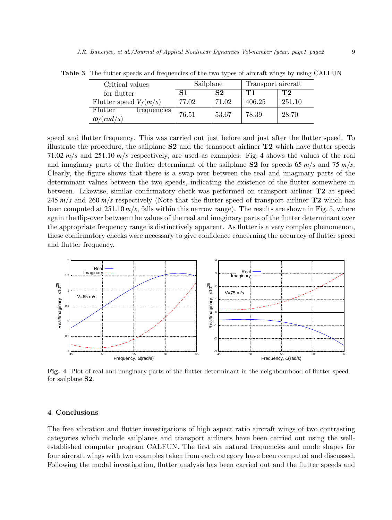| Critical values                              | Sailplane |       | Transport aircraft |        |
|----------------------------------------------|-----------|-------|--------------------|--------|
| for flutter                                  |           | S2    | T 1                | T2     |
| Flutter speed $V_f(m/s)$                     | 77.02     | 71.02 | 406.25             | 251.10 |
| Flutter<br>frequencies<br>$\omega_f (rad/s)$ | 76.51     | 53.67 | 78.39              | 28.70  |

**Table 3** The flutter speeds and frequencies of the two types of aircraft wings by using CALFUN

speed and flutter frequency. This was carried out just before and just after the flutter speed. To illustrate the procedure, the sailplane **S2** and the transport airliner **T2** which have flutter speeds 71*.*02 *m/s* and 251*.*10 *m/s* respectively, are used as examples. Fig. 4 shows the values of the real and imaginary parts of the flutter determinant of the sailplane **S2** for speeds 65  $m/s$  and 75  $m/s$ . Clearly, the figure shows that there is a swap-over between the real and imaginary parts of the determinant values between the two speeds, indicating the existence of the flutter somewhere in between. Likewise, similar confirmatory check was performed on transport airliner **T2** at speed 245  $m/s$  and 260  $m/s$  respectively (Note that the flutter speed of transport airliner **T2** which has been computed at 251*.*10 *m/s*, falls within this narrow range). The results are shown in Fig. 5, where again the flip-over between the values of the real and imaginary parts of the flutter determinant over the appropriate frequency range is distinctively apparent. As flutter is a very complex phenomenon, these confirmatory checks were necessary to give confidence concerning the accuracy of flutter speed and flutter frequency.



**Fig. 4** Plot of real and imaginary parts of the flutter determinant in the neighbourhood of flutter speed for sailplane **S2**.

#### **4 Conclusions**

The free vibration and flutter investigations of high aspect ratio aircraft wings of two contrasting categories which include sailplanes and transport airliners have been carried out using the wellestablished computer program CALFUN. The first six natural frequencies and mode shapes for four aircraft wings with two examples taken from each category have been computed and discussed. Following the modal investigation, flutter analysis has been carried out and the flutter speeds and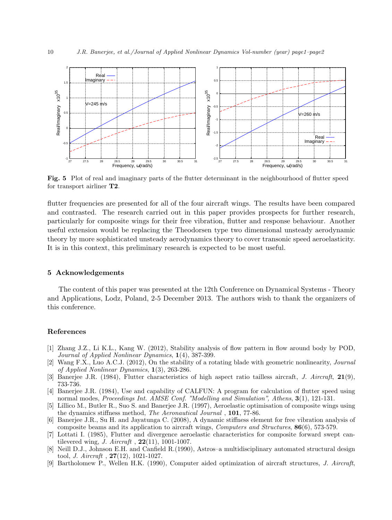

**Fig. 5** Plot of real and imaginary parts of the flutter determinant in the neighbourhood of flutter speed for transport airliner **T2**.

flutter frequencies are presented for all of the four aircraft wings. The results have been compared and contrasted. The research carried out in this paper provides prospects for further research, particularly for composite wings for their free vibration, flutter and response behaviour. Another useful extension would be replacing the Theodorsen type two dimensional unsteady aerodynamic theory by more sophisticated unsteady aerodynamics theory to cover transonic speed aeroelasticity. It is in this context, this preliminary research is expected to be most useful.

#### **5 Acknowledgements**

The content of this paper was presented at the 12th Conference on Dynamical Systems - Theory and Applications, Lodz, Poland, 2-5 December 2013. The authors wish to thank the organizers of this conference.

#### **References**

- [1] Zhang J.Z., Li K.L., Kang W. (2012), Stability analysis of flow pattern in flow around body by POD, *Journal of Applied Nonlinear Dynamics*, **1**(4), 387-399.
- [2] Wang F.X., Luo A.C.J. (2012), On the stability of a rotating blade with geometric nonlinearity, *Journal of Applied Nonlinear Dynamics*, **1**(3), 263-286.
- [3] Banerjee J.R. (1984), Flutter characteristics of high aspect ratio tailless aircraft, *J. Aircraft*, **21**(9), 733-736.
- [4] Banerjee J.R. (1984), Use and capability of CALFUN: A program for calculation of flutter speed using normal modes, *Proceedings Int. AMSE Conf. "Modelling and Simulation", Athens*, **3**(1), 121-131.
- [5] Lillico M., Butler R., Suo S. and Banerjee J.R. (1997), Aeroelastic optimisation of composite wings using the dynamics stiffness method, *The Aeronautical Journal* , **101**, 77-86.
- [6] Banerjee J.R., Su H. and Jayatunga C. (2008), A dynamic stiffness element for free vibration analysis of composite beams and its application to aircraft wings, *Computers and Structures*, **86**(6), 573-579.
- [7] Lottati I. (1985), Flutter and divergence aeroelastic characteristics for composite forward swept cantilevered wing, *J. Aircraft* , **22**(11), 1001-1007.
- [8] Neill D.J., Johnson E.H. and Canfield R.(1990), Astros–a multidisciplinary automated structural design tool, *J. Aircraft* , **27**(12), 1021-1027.
- [9] Bartholomew P., Wellen H.K. (1990), Computer aided optimization of aircraft structures, *J. Aircraft*,